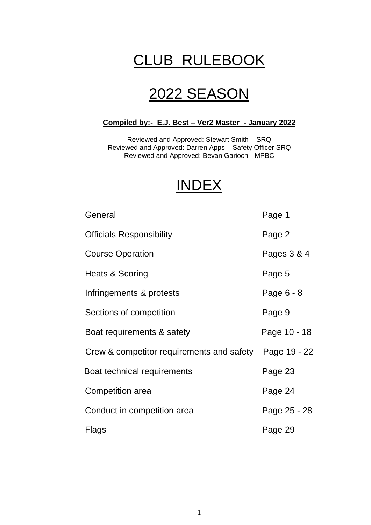# CLUB RULEBOOK

# 2022 SEASON

# **Compiled by:- E.J. Best – Ver2 Master - January 2022**

Reviewed and Approved: Stewart Smith – SRQ Reviewed and Approved: Darren Apps – Safety Officer SRQ Reviewed and Approved: Bevan Garioch - MPBC

# INDEX

| General                                   | Page 1       |
|-------------------------------------------|--------------|
| <b>Officials Responsibility</b>           | Page 2       |
| <b>Course Operation</b>                   | Pages 3 & 4  |
| Heats & Scoring                           | Page 5       |
| Infringements & protests                  | Page 6 - 8   |
| Sections of competition                   | Page 9       |
| Boat requirements & safety                | Page 10 - 18 |
| Crew & competitor requirements and safety | Page 19 - 22 |
| Boat technical requirements               | Page 23      |
| Competition area                          | Page 24      |
| Conduct in competition area               | Page 25 - 28 |
| Flags                                     | Page 29      |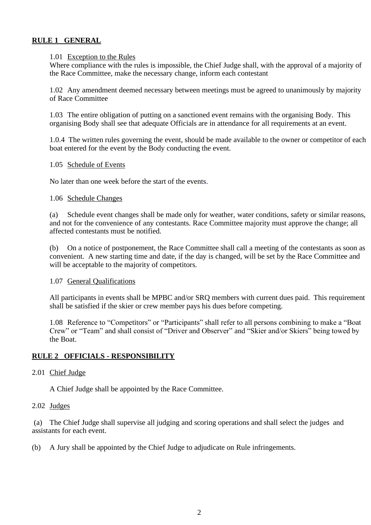## **RULE 1 GENERAL**

#### 1.01 Exception to the Rules

Where compliance with the rules is impossible, the Chief Judge shall, with the approval of a majority of the Race Committee, make the necessary change, inform each contestant

1.02 Any amendment deemed necessary between meetings must be agreed to unanimously by majority of Race Committee

1.03 The entire obligation of putting on a sanctioned event remains with the organising Body. This organising Body shall see that adequate Officials are in attendance for all requirements at an event.

1.0.4 The written rules governing the event, should be made available to the owner or competitor of each boat entered for the event by the Body conducting the event.

#### 1.05 Schedule of Events

No later than one week before the start of the events.

#### 1.06 Schedule Changes

(a) Schedule event changes shall be made only for weather, water conditions, safety or similar reasons, and not for the convenience of any contestants. Race Committee majority must approve the change; all affected contestants must be notified.

(b) On a notice of postponement, the Race Committee shall call a meeting of the contestants as soon as convenient. A new starting time and date, if the day is changed, will be set by the Race Committee and will be acceptable to the majority of competitors.

#### 1.07 General Qualifications

All participants in events shall be MPBC and/or SRQ members with current dues paid. This requirement shall be satisfied if the skier or crew member pays his dues before competing.

1.08 Reference to "Competitors" or "Participants" shall refer to all persons combining to make a "Boat Crew" or "Team" and shall consist of "Driver and Observer" and "Skier and/or Skiers" being towed by the Boat.

## **RULE 2 OFFICIALS - RESPONSIBILITY**

## 2.01 Chief Judge

A Chief Judge shall be appointed by the Race Committee.

## 2.02 Judges

(a) The Chief Judge shall supervise all judging and scoring operations and shall select the judges and assistants for each event.

(b) A Jury shall be appointed by the Chief Judge to adjudicate on Rule infringements.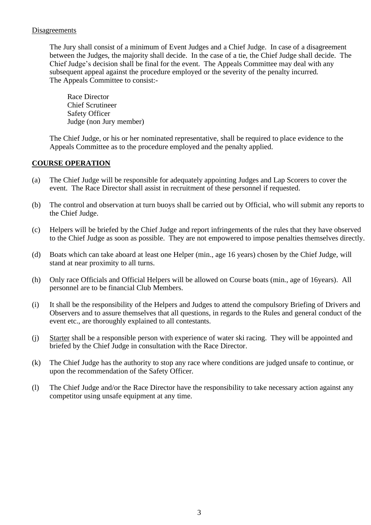## **Disagreements**

The Jury shall consist of a minimum of Event Judges and a Chief Judge. In case of a disagreement between the Judges, the majority shall decide. In the case of a tie, the Chief Judge shall decide. The Chief Judge's decision shall be final for the event. The Appeals Committee may deal with any subsequent appeal against the procedure employed or the severity of the penalty incurred. The Appeals Committee to consist:-

Race Director Chief Scrutineer Safety Officer Judge (non Jury member)

The Chief Judge, or his or her nominated representative, shall be required to place evidence to the Appeals Committee as to the procedure employed and the penalty applied.

## **COURSE OPERATION**

- (a) The Chief Judge will be responsible for adequately appointing Judges and Lap Scorers to cover the event. The Race Director shall assist in recruitment of these personnel if requested.
- (b) The control and observation at turn buoys shall be carried out by Official, who will submit any reports to the Chief Judge.
- (c) Helpers will be briefed by the Chief Judge and report infringements of the rules that they have observed to the Chief Judge as soon as possible. They are not empowered to impose penalties themselves directly.
- (d) Boats which can take aboard at least one Helper (min., age 16 years) chosen by the Chief Judge, will stand at near proximity to all turns.
- (h) Only race Officials and Official Helpers will be allowed on Course boats (min., age of 16years). All personnel are to be financial Club Members.
- (i) It shall be the responsibility of the Helpers and Judges to attend the compulsory Briefing of Drivers and Observers and to assure themselves that all questions, in regards to the Rules and general conduct of the event etc., are thoroughly explained to all contestants.
- (j) Starter shall be a responsible person with experience of water ski racing. They will be appointed and briefed by the Chief Judge in consultation with the Race Director.
- (k) The Chief Judge has the authority to stop any race where conditions are judged unsafe to continue, or upon the recommendation of the Safety Officer.
- (l) The Chief Judge and/or the Race Director have the responsibility to take necessary action against any competitor using unsafe equipment at any time.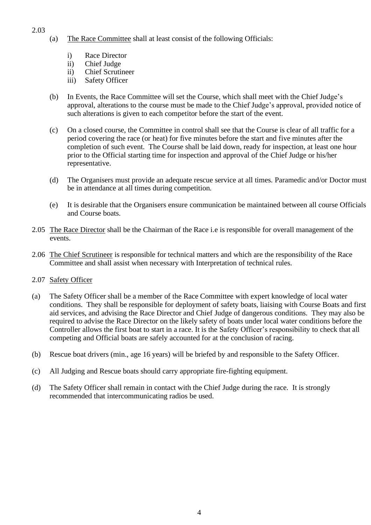## 2.03

- (a) The Race Committee shall at least consist of the following Officials:
	- i) Race Director
	- ii) Chief Judge
	- ii) Chief Scrutineer
	- iii) Safety Officer
- (b) In Events, the Race Committee will set the Course, which shall meet with the Chief Judge's approval, alterations to the course must be made to the Chief Judge's approval, provided notice of such alterations is given to each competitor before the start of the event.
- (c) On a closed course, the Committee in control shall see that the Course is clear of all traffic for a period covering the race (or heat) for five minutes before the start and five minutes after the completion of such event. The Course shall be laid down, ready for inspection, at least one hour prior to the Official starting time for inspection and approval of the Chief Judge or his/her representative.
- (d) The Organisers must provide an adequate rescue service at all times. Paramedic and/or Doctor must be in attendance at all times during competition.
- (e) It is desirable that the Organisers ensure communication be maintained between all course Officials and Course boats.
- 2.05 The Race Director shall be the Chairman of the Race i.e is responsible for overall management of the events.
- 2.06 The Chief Scrutineer is responsible for technical matters and which are the responsibility of the Race Committee and shall assist when necessary with Interpretation of technical rules.
- 2.07 Safety Officer
- (a) The Safety Officer shall be a member of the Race Committee with expert knowledge of local water conditions. They shall be responsible for deployment of safety boats, liaising with Course Boats and first aid services, and advising the Race Director and Chief Judge of dangerous conditions. They may also be required to advise the Race Director on the likely safety of boats under local water conditions before the Controller allows the first boat to start in a race. It is the Safety Officer's responsibility to check that all competing and Official boats are safely accounted for at the conclusion of racing.
- (b) Rescue boat drivers (min., age 16 years) will be briefed by and responsible to the Safety Officer.
- (c) All Judging and Rescue boats should carry appropriate fire-fighting equipment.
- (d) The Safety Officer shall remain in contact with the Chief Judge during the race. It is strongly recommended that intercommunicating radios be used.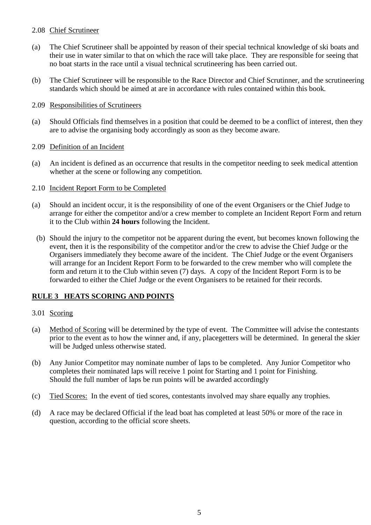## 2.08 Chief Scrutineer

- (a) The Chief Scrutineer shall be appointed by reason of their special technical knowledge of ski boats and their use in water similar to that on which the race will take place. They are responsible for seeing that no boat starts in the race until a visual technical scrutineering has been carried out.
- (b) The Chief Scrutineer will be responsible to the Race Director and Chief Scrutinner, and the scrutineering standards which should be aimed at are in accordance with rules contained within this book.

## 2.09 Responsibilities of Scrutineers

(a) Should Officials find themselves in a position that could be deemed to be a conflict of interest, then they are to advise the organising body accordingly as soon as they become aware.

## 2.09 Definition of an Incident

- (a) An incident is defined as an occurrence that results in the competitor needing to seek medical attention whether at the scene or following any competition.
- 2.10 Incident Report Form to be Completed
- (a) Should an incident occur, it is the responsibility of one of the event Organisers or the Chief Judge to arrange for either the competitor and/or a crew member to complete an Incident Report Form and return it to the Club within **24 hours** following the Incident.
	- (b) Should the injury to the competitor not be apparent during the event, but becomes known following the event, then it is the responsibility of the competitor and/or the crew to advise the Chief Judge or the Organisers immediately they become aware of the incident. The Chief Judge or the event Organisers will arrange for an Incident Report Form to be forwarded to the crew member who will complete the form and return it to the Club within seven (7) days. A copy of the Incident Report Form is to be forwarded to either the Chief Judge or the event Organisers to be retained for their records.

## **RULE 3 HEATS SCORING AND POINTS**

## 3.01 Scoring

- (a) Method of Scoring will be determined by the type of event. The Committee will advise the contestants prior to the event as to how the winner and, if any, placegetters will be determined. In general the skier will be Judged unless otherwise stated.
- (b) Any Junior Competitor may nominate number of laps to be completed. Any Junior Competitor who completes their nominated laps will receive 1 point for Starting and 1 point for Finishing. Should the full number of laps be run points will be awarded accordingly
- (c) Tied Scores: In the event of tied scores, contestants involved may share equally any trophies.
- (d) A race may be declared Official if the lead boat has completed at least 50% or more of the race in question, according to the official score sheets.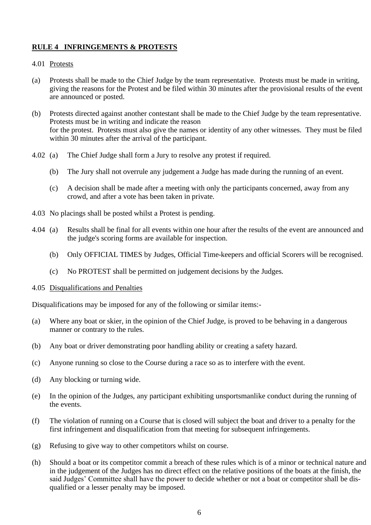## **RULE 4 INFRINGEMENTS & PROTESTS**

## 4.01 Protests

- (a) Protests shall be made to the Chief Judge by the team representative. Protests must be made in writing, giving the reasons for the Protest and be filed within 30 minutes after the provisional results of the event are announced or posted.
- (b) Protests directed against another contestant shall be made to the Chief Judge by the team representative. Protests must be in writing and indicate the reason for the protest. Protests must also give the names or identity of any other witnesses. They must be filed within 30 minutes after the arrival of the participant.
- 4.02 (a) The Chief Judge shall form a Jury to resolve any protest if required.
	- (b) The Jury shall not overrule any judgement a Judge has made during the running of an event.
	- (c) A decision shall be made after a meeting with only the participants concerned, away from any crowd, and after a vote has been taken in private.
- 4.03 No placings shall be posted whilst a Protest is pending.
- 4.04 (a) Results shall be final for all events within one hour after the results of the event are announced and the judge's scoring forms are available for inspection.
	- (b) Only OFFICIAL TIMES by Judges, Official Time-keepers and official Scorers will be recognised.
	- (c) No PROTEST shall be permitted on judgement decisions by the Judges.

## 4.05 Disqualifications and Penalties

Disqualifications may be imposed for any of the following or similar items:-

- (a) Where any boat or skier, in the opinion of the Chief Judge, is proved to be behaving in a dangerous manner or contrary to the rules.
- (b) Any boat or driver demonstrating poor handling ability or creating a safety hazard.
- (c) Anyone running so close to the Course during a race so as to interfere with the event.
- (d) Any blocking or turning wide.
- (e) In the opinion of the Judges, any participant exhibiting unsportsmanlike conduct during the running of the events.
- (f) The violation of running on a Course that is closed will subject the boat and driver to a penalty for the first infringement and disqualification from that meeting for subsequent infringements.
- (g) Refusing to give way to other competitors whilst on course.
- (h) Should a boat or its competitor commit a breach of these rules which is of a minor or technical nature and in the judgement of the Judges has no direct effect on the relative positions of the boats at the finish, the said Judges' Committee shall have the power to decide whether or not a boat or competitor shall be disqualified or a lesser penalty may be imposed.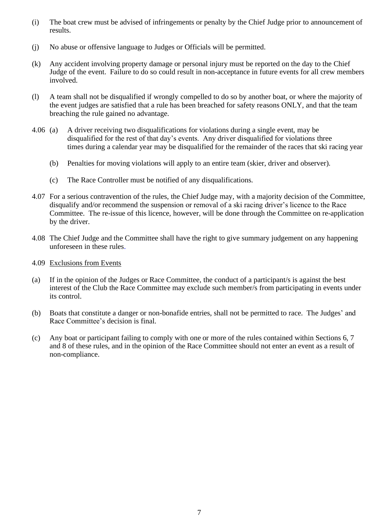- (i) The boat crew must be advised of infringements or penalty by the Chief Judge prior to announcement of results.
- (j) No abuse or offensive language to Judges or Officials will be permitted.
- (k) Any accident involving property damage or personal injury must be reported on the day to the Chief Judge of the event. Failure to do so could result in non-acceptance in future events for all crew members involved.
- (l) A team shall not be disqualified if wrongly compelled to do so by another boat, or where the majority of the event judges are satisfied that a rule has been breached for safety reasons ONLY, and that the team breaching the rule gained no advantage.
- 4.06 (a) A driver receiving two disqualifications for violations during a single event, may be disqualified for the rest of that day's events. Any driver disqualified for violations three times during a calendar year may be disqualified for the remainder of the races that ski racing year
	- (b) Penalties for moving violations will apply to an entire team (skier, driver and observer).
	- (c) The Race Controller must be notified of any disqualifications.
- 4.07 For a serious contravention of the rules, the Chief Judge may, with a majority decision of the Committee, disqualify and/or recommend the suspension or removal of a ski racing driver's licence to the Race Committee. The re-issue of this licence, however, will be done through the Committee on re-application by the driver.
- 4.08 The Chief Judge and the Committee shall have the right to give summary judgement on any happening unforeseen in these rules.
- 4.09 Exclusions from Events
- (a) If in the opinion of the Judges or Race Committee, the conduct of a participant/s is against the best interest of the Club the Race Committee may exclude such member/s from participating in events under its control.
- (b) Boats that constitute a danger or non-bonafide entries, shall not be permitted to race. The Judges' and Race Committee's decision is final.
- (c) Any boat or participant failing to comply with one or more of the rules contained within Sections 6, 7 and 8 of these rules, and in the opinion of the Race Committee should not enter an event as a result of non-compliance.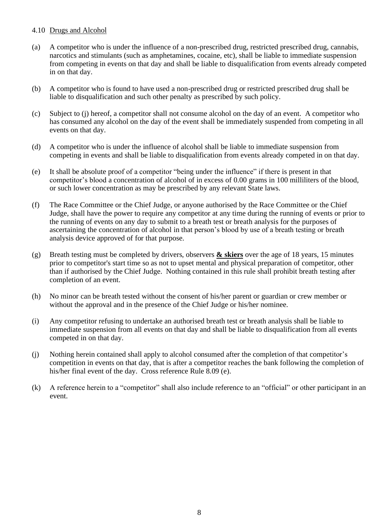## 4.10 Drugs and Alcohol

- (a) A competitor who is under the influence of a non-prescribed drug, restricted prescribed drug, cannabis, narcotics and stimulants (such as amphetamines, cocaine, etc), shall be liable to immediate suspension from competing in events on that day and shall be liable to disqualification from events already competed in on that day.
- (b) A competitor who is found to have used a non-prescribed drug or restricted prescribed drug shall be liable to disqualification and such other penalty as prescribed by such policy.
- (c) Subject to (j) hereof, a competitor shall not consume alcohol on the day of an event. A competitor who has consumed any alcohol on the day of the event shall be immediately suspended from competing in all events on that day.
- (d) A competitor who is under the influence of alcohol shall be liable to immediate suspension from competing in events and shall be liable to disqualification from events already competed in on that day.
- (e) It shall be absolute proof of a competitor "being under the influence" if there is present in that competitor's blood a concentration of alcohol of in excess of 0.00 grams in 100 milliliters of the blood, or such lower concentration as may be prescribed by any relevant State laws.
- (f) The Race Committee or the Chief Judge, or anyone authorised by the Race Committee or the Chief Judge, shall have the power to require any competitor at any time during the running of events or prior to the running of events on any day to submit to a breath test or breath analysis for the purposes of ascertaining the concentration of alcohol in that person's blood by use of a breath testing or breath analysis device approved of for that purpose.
- (g) Breath testing must be completed by drivers, observers **& skiers** over the age of 18 years, 15 minutes prior to competitor's start time so as not to upset mental and physical preparation of competitor, other than if authorised by the Chief Judge. Nothing contained in this rule shall prohibit breath testing after completion of an event.
- (h) No minor can be breath tested without the consent of his/her parent or guardian or crew member or without the approval and in the presence of the Chief Judge or his/her nominee.
- (i) Any competitor refusing to undertake an authorised breath test or breath analysis shall be liable to immediate suspension from all events on that day and shall be liable to disqualification from all events competed in on that day.
- (j) Nothing herein contained shall apply to alcohol consumed after the completion of that competitor's competition in events on that day, that is after a competitor reaches the bank following the completion of his/her final event of the day. Cross reference Rule 8.09 (e).
- (k) A reference herein to a "competitor" shall also include reference to an "official" or other participant in an event.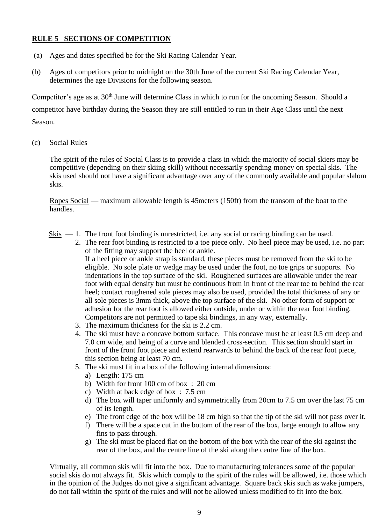## **RULE 5 SECTIONS OF COMPETITION**

- (a) Ages and dates specified be for the Ski Racing Calendar Year.
- (b) Ages of competitors prior to midnight on the 30th June of the current Ski Racing Calendar Year, determines the age Divisions for the following season.

Competitor's age as at 30<sup>th</sup> June will determine Class in which to run for the oncoming Season. Should a competitor have birthday during the Season they are still entitled to run in their Age Class until the next

Season.

(c) Social Rules

The spirit of the rules of Social Class is to provide a class in which the majority of social skiers may be competitive (depending on their skiing skill) without necessarily spending money on special skis. The skis used should not have a significant advantage over any of the commonly available and popular slalom skis.

Ropes Social — maximum allowable length is 45meters (150ft) from the transom of the boat to the handles.

- Skis  $-1$ . The front foot binding is unrestricted, i.e. any social or racing binding can be used.
	- 2. The rear foot binding is restricted to a toe piece only. No heel piece may be used, i.e. no part of the fitting may support the heel or ankle.

If a heel piece or ankle strap is standard, these pieces must be removed from the ski to be eligible. No sole plate or wedge may be used under the foot, no toe grips or supports. No indentations in the top surface of the ski. Roughened surfaces are allowable under the rear foot with equal density but must be continuous from in front of the rear toe to behind the rear heel; contact roughened sole pieces may also be used, provided the total thickness of any or all sole pieces is 3mm thick, above the top surface of the ski. No other form of support or adhesion for the rear foot is allowed either outside, under or within the rear foot binding. Competitors are not permitted to tape ski bindings, in any way, externally.

- 3. The maximum thickness for the ski is 2.2 cm.
- 4. The ski must have a concave bottom surface. This concave must be at least 0.5 cm deep and 7.0 cm wide, and being of a curve and blended cross-section. This section should start in front of the front foot piece and extend rearwards to behind the back of the rear foot piece, this section being at least 70 cm.
- 5. The ski must fit in a box of the following internal dimensions:
	- a) Length: 175 cm
	- b) Width for front 100 cm of box : 20 cm
	- c) Width at back edge of box : 7.5 cm
	- d) The box will taper uniformly and symmetrically from 20cm to 7.5 cm over the last 75 cm of its length.
	- e) The front edge of the box will be 18 cm high so that the tip of the ski will not pass over it.
	- f) There will be a space cut in the bottom of the rear of the box, large enough to allow any fins to pass through.
	- g) The ski must be placed flat on the bottom of the box with the rear of the ski against the rear of the box, and the centre line of the ski along the centre line of the box.

Virtually, all common skis will fit into the box. Due to manufacturing tolerances some of the popular social skis do not always fit. Skis which comply to the spirit of the rules will be allowed, i.e. those which in the opinion of the Judges do not give a significant advantage. Square back skis such as wake jumpers, do not fall within the spirit of the rules and will not be allowed unless modified to fit into the box.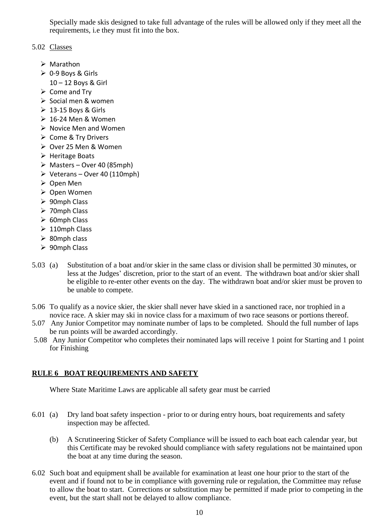Specially made skis designed to take full advantage of the rules will be allowed only if they meet all the requirements, i.e they must fit into the box.

## 5.02 Classes

- ➢ Marathon
- $\geqslant$  0-9 Boys & Girls
	- 10 12 Boys & Girl
- $\triangleright$  Come and Try
- ➢ Social men & women
- $\geq 13 15$  Bovs & Girls
- $\geq 16$ -24 Men & Women
- ➢ Novice Men and Women
- ➢ Come & Try Drivers
- ➢ Over 25 Men & Women
- ➢ Heritage Boats
- $\triangleright$  Masters Over 40 (85mph)
- $\triangleright$  Veterans Over 40 (110mph)
- ➢ Open Men
- ➢ Open Women
- ➢ 90mph Class
- ➢ 70mph Class
- ➢ 60mph Class
- $\geq 110$ mph Class
- ➢ 80mph class
- ➢ 90mph Class
- 5.03 (a) Substitution of a boat and/or skier in the same class or division shall be permitted 30 minutes, or less at the Judges' discretion, prior to the start of an event. The withdrawn boat and/or skier shall be eligible to re-enter other events on the day. The withdrawn boat and/or skier must be proven to be unable to compete.
- 5.06 To qualify as a novice skier, the skier shall never have skied in a sanctioned race, nor trophied in a novice race. A skier may ski in novice class for a maximum of two race seasons or portions thereof.
- 5.07 Any Junior Competitor may nominate number of laps to be completed. Should the full number of laps be run points will be awarded accordingly.
- 5.08 Any Junior Competitor who completes their nominated laps will receive 1 point for Starting and 1 point for Finishing

# **RULE 6 BOAT REQUIREMENTS AND SAFETY**

Where State Maritime Laws are applicable all safety gear must be carried

- 6.01 (a) Dry land boat safety inspection prior to or during entry hours, boat requirements and safety inspection may be affected.
	- (b) A Scrutineering Sticker of Safety Compliance will be issued to each boat each calendar year, but this Certificate may be revoked should compliance with safety regulations not be maintained upon the boat at any time during the season.
- 6.02 Such boat and equipment shall be available for examination at least one hour prior to the start of the event and if found not to be in compliance with governing rule or regulation, the Committee may refuse to allow the boat to start. Corrections or substitution may be permitted if made prior to competing in the event, but the start shall not be delayed to allow compliance.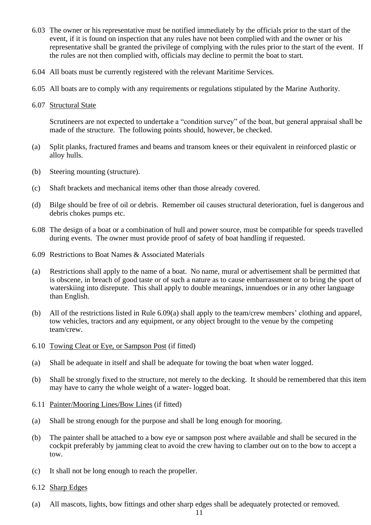- 6.03 The owner or his representative must be notified immediately by the officials prior to the start of the event, if it is found on inspection that any rules have not been complied with and the owner or his representative shall be granted the privilege of complying with the rules prior to the start of the event. If the rules are not then complied with, officials may decline to permit the boat to start.
- 6.04 All boats must be currently registered with the relevant Maritime Services.
- 6.05 All boats are to comply with any requirements or regulations stipulated by the Marine Authority.
- 6.07 Structural State

Scrutineers are not expected to undertake a "condition survey" of the boat, but general appraisal shall be made of the structure. The following points should, however, be checked.

- (a) Split planks, fractured frames and beams and transom knees or their equivalent in reinforced plastic or alloy hulls.
- (b) Steering mounting (structure).
- (c) Shaft brackets and mechanical items other than those already covered.
- (d) Bilge should be free of oil or debris. Remember oil causes structural deterioration, fuel is dangerous and debris chokes pumps etc.
- 6.08 The design of a boat or a combination of hull and power source, must be compatible for speeds travelled during events. The owner must provide proof of safety of boat handling if requested.
- 6.09 Restrictions to Boat Names & Associated Materials
- (a) Restrictions shall apply to the name of a boat. No name, mural or advertisement shall be permitted that is obscene, in breach of good taste or of such a nature as to cause embarrassment or to bring the sport of waterskiing into disrepute. This shall apply to double meanings, innuendoes or in any other language than English.
- (b) All of the restrictions listed in Rule 6.09(a) shall apply to the team/crew members' clothing and apparel, tow vehicles, tractors and any equipment, or any object brought to the venue by the competing team/crew.
- 6.10 Towing Cleat or Eye, or Sampson Post (if fitted)
- (a) Shall be adequate in itself and shall be adequate for towing the boat when water logged.
- (b) Shall be strongly fixed to the structure, not merely to the decking. It should be remembered that this item may have to carry the whole weight of a water- logged boat.
- 6.11 Painter/Mooring Lines/Bow Lines (if fitted)
- (a) Shall be strong enough for the purpose and shall be long enough for mooring.
- (b) The painter shall be attached to a bow eye or sampson post where available and shall be secured in the cockpit preferably by jamming cleat to avoid the crew having to clamber out on to the bow to accept a tow.
- (c) It shall not be long enough to reach the propeller.
- 6.12 Sharp Edges
- (a) All mascots, lights, bow fittings and other sharp edges shall be adequately protected or removed.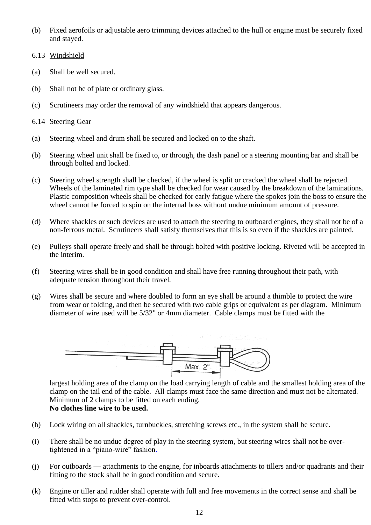- (b) Fixed aerofoils or adjustable aero trimming devices attached to the hull or engine must be securely fixed and stayed.
- 6.13 Windshield
- (a) Shall be well secured.
- (b) Shall not be of plate or ordinary glass.
- (c) Scrutineers may order the removal of any windshield that appears dangerous.
- 6.14 Steering Gear
- (a) Steering wheel and drum shall be secured and locked on to the shaft.
- (b) Steering wheel unit shall be fixed to, or through, the dash panel or a steering mounting bar and shall be through bolted and locked.
- (c) Steering wheel strength shall be checked, if the wheel is split or cracked the wheel shall be rejected. Wheels of the laminated rim type shall be checked for wear caused by the breakdown of the laminations. Plastic composition wheels shall be checked for early fatigue where the spokes join the boss to ensure the wheel cannot be forced to spin on the internal boss without undue minimum amount of pressure.
- (d) Where shackles or such devices are used to attach the steering to outboard engines, they shall not be of a non-ferrous metal. Scrutineers shall satisfy themselves that this is so even if the shackles are painted.
- (e) Pulleys shall operate freely and shall be through bolted with positive locking. Riveted will be accepted in the interim.
- (f) Steering wires shall be in good condition and shall have free running throughout their path, with adequate tension throughout their travel.
- (g) Wires shall be secure and where doubled to form an eye shall be around a thimble to protect the wire from wear or folding, and then be secured with two cable grips or equivalent as per diagram. Minimum diameter of wire used will be 5/32" or 4mm diameter. Cable clamps must be fitted with the



largest holding area of the clamp on the load carrying length of cable and the smallest holding area of the clamp on the tail end of the cable. All clamps must face the same direction and must not be alternated. Minimum of 2 clamps to be fitted on each ending. **No clothes line wire to be used.**

- (h) Lock wiring on all shackles, turnbuckles, stretching screws etc., in the system shall be secure.
- (i) There shall be no undue degree of play in the steering system, but steering wires shall not be overtightened in a "piano-wire" fashion.
- (j) For outboards attachments to the engine, for inboards attachments to tillers and/or quadrants and their fitting to the stock shall be in good condition and secure.
- (k) Engine or tiller and rudder shall operate with full and free movements in the correct sense and shall be fitted with stops to prevent over-control.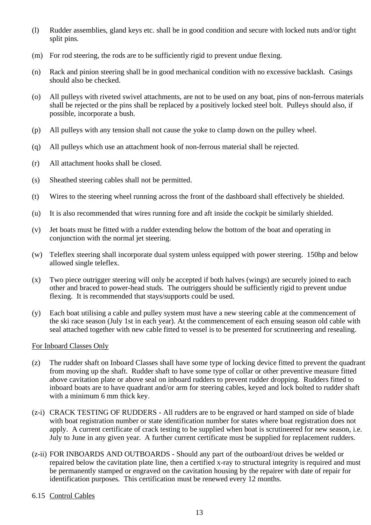- (l) Rudder assemblies, gland keys etc. shall be in good condition and secure with locked nuts and/or tight split pins.
- (m) For rod steering, the rods are to be sufficiently rigid to prevent undue flexing.
- (n) Rack and pinion steering shall be in good mechanical condition with no excessive backlash. Casings should also be checked.
- (o) All pulleys with riveted swivel attachments, are not to be used on any boat, pins of non-ferrous materials shall be rejected or the pins shall be replaced by a positively locked steel bolt. Pulleys should also, if possible, incorporate a bush.
- (p) All pulleys with any tension shall not cause the yoke to clamp down on the pulley wheel.
- (q) All pulleys which use an attachment hook of non-ferrous material shall be rejected.
- (r) All attachment hooks shall be closed.
- (s) Sheathed steering cables shall not be permitted.
- (t) Wires to the steering wheel running across the front of the dashboard shall effectively be shielded.
- (u) It is also recommended that wires running fore and aft inside the cockpit be similarly shielded.
- (v) Jet boats must be fitted with a rudder extending below the bottom of the boat and operating in conjunction with the normal jet steering.
- (w) Teleflex steering shall incorporate dual system unless equipped with power steering. 150hp and below allowed single teleflex.
- (x) Two piece outrigger steering will only be accepted if both halves (wings) are securely joined to each other and braced to power-head studs. The outriggers should be sufficiently rigid to prevent undue flexing. It is recommended that stays/supports could be used.
- (y) Each boat utilising a cable and pulley system must have a new steering cable at the commencement of the ski race season (July 1st in each year). At the commencement of each ensuing season old cable with seal attached together with new cable fitted to vessel is to be presented for scrutineering and resealing.

## For Inboard Classes Only

- (z) The rudder shaft on Inboard Classes shall have some type of locking device fitted to prevent the quadrant from moving up the shaft. Rudder shaft to have some type of collar or other preventive measure fitted above cavitation plate or above seal on inboard rudders to prevent rudder dropping. Rudders fitted to inboard boats are to have quadrant and/or arm for steering cables, keyed and lock bolted to rudder shaft with a minimum 6 mm thick key.
- (z-i) CRACK TESTING OF RUDDERS All rudders are to be engraved or hard stamped on side of blade with boat registration number or state identification number for states where boat registration does not apply. A current certificate of crack testing to be supplied when boat is scrutineered for new season, i.e. July to June in any given year. A further current certificate must be supplied for replacement rudders.
- (z-ii) FOR INBOARDS AND OUTBOARDS Should any part of the outboard/out drives be welded or repaired below the cavitation plate line, then a certified x-ray to structural integrity is required and must be permanently stamped or engraved on the cavitation housing by the repairer with date of repair for identification purposes. This certification must be renewed every 12 months.

## 6.15 Control Cables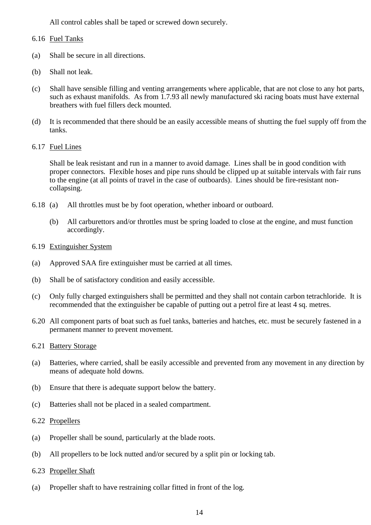All control cables shall be taped or screwed down securely.

## 6.16 Fuel Tanks

- (a) Shall be secure in all directions.
- (b) Shall not leak.
- (c) Shall have sensible filling and venting arrangements where applicable, that are not close to any hot parts, such as exhaust manifolds. As from 1.7.93 all newly manufactured ski racing boats must have external breathers with fuel fillers deck mounted.
- (d) It is recommended that there should be an easily accessible means of shutting the fuel supply off from the tanks.
- 6.17 Fuel Lines

Shall be leak resistant and run in a manner to avoid damage. Lines shall be in good condition with proper connectors. Flexible hoses and pipe runs should be clipped up at suitable intervals with fair runs to the engine (at all points of travel in the case of outboards). Lines should be fire-resistant noncollapsing.

- 6.18 (a) All throttles must be by foot operation, whether inboard or outboard.
	- (b) All carburettors and/or throttles must be spring loaded to close at the engine, and must function accordingly.
- 6.19 Extinguisher System
- (a) Approved SAA fire extinguisher must be carried at all times.
- (b) Shall be of satisfactory condition and easily accessible.
- (c) Only fully charged extinguishers shall be permitted and they shall not contain carbon tetrachloride. It is recommended that the extinguisher be capable of putting out a petrol fire at least 4 sq. metres.
- 6.20 All component parts of boat such as fuel tanks, batteries and hatches, etc. must be securely fastened in a permanent manner to prevent movement.
- 6.21 Battery Storage
- (a) Batteries, where carried, shall be easily accessible and prevented from any movement in any direction by means of adequate hold downs.
- (b) Ensure that there is adequate support below the battery.
- (c) Batteries shall not be placed in a sealed compartment.
- 6.22 Propellers
- (a) Propeller shall be sound, particularly at the blade roots.
- (b) All propellers to be lock nutted and/or secured by a split pin or locking tab.
- 6.23 Propeller Shaft
- (a) Propeller shaft to have restraining collar fitted in front of the log.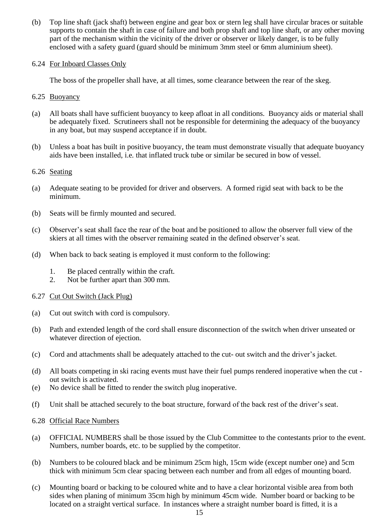(b) Top line shaft (jack shaft) between engine and gear box or stern leg shall have circular braces or suitable supports to contain the shaft in case of failure and both prop shaft and top line shaft, or any other moving part of the mechanism within the vicinity of the driver or observer or likely danger, is to be fully enclosed with a safety guard (guard should be minimum 3mm steel or 6mm aluminium sheet).

## 6.24 For Inboard Classes Only

The boss of the propeller shall have, at all times, some clearance between the rear of the skeg.

- 6.25 Buoyancy
- (a) All boats shall have sufficient buoyancy to keep afloat in all conditions. Buoyancy aids or material shall be adequately fixed. Scrutineers shall not be responsible for determining the adequacy of the buoyancy in any boat, but may suspend acceptance if in doubt.
- (b) Unless a boat has built in positive buoyancy, the team must demonstrate visually that adequate buoyancy aids have been installed, i.e. that inflated truck tube or similar be secured in bow of vessel.

## 6.26 Seating

- (a) Adequate seating to be provided for driver and observers. A formed rigid seat with back to be the minimum.
- (b) Seats will be firmly mounted and secured.
- (c) Observer's seat shall face the rear of the boat and be positioned to allow the observer full view of the skiers at all times with the observer remaining seated in the defined observer's seat.
- (d) When back to back seating is employed it must conform to the following:
	- 1. Be placed centrally within the craft.
	- 2. Not be further apart than 300 mm.

## 6.27 Cut Out Switch (Jack Plug)

- (a) Cut out switch with cord is compulsory.
- (b) Path and extended length of the cord shall ensure disconnection of the switch when driver unseated or whatever direction of ejection.
- (c) Cord and attachments shall be adequately attached to the cut- out switch and the driver's jacket.
- (d) All boats competing in ski racing events must have their fuel pumps rendered inoperative when the cut out switch is activated.
- (e) No device shall be fitted to render the switch plug inoperative.
- (f) Unit shall be attached securely to the boat structure, forward of the back rest of the driver's seat.
- 6.28 Official Race Numbers
- (a) OFFICIAL NUMBERS shall be those issued by the Club Committee to the contestants prior to the event. Numbers, number boards, etc. to be supplied by the competitor.
- (b) Numbers to be coloured black and be minimum 25cm high, 15cm wide (except number one) and 5cm thick with minimum 5cm clear spacing between each number and from all edges of mounting board.
- (c) Mounting board or backing to be coloured white and to have a clear horizontal visible area from both sides when planing of minimum 35cm high by minimum 45cm wide. Number board or backing to be located on a straight vertical surface. In instances where a straight number board is fitted, it is a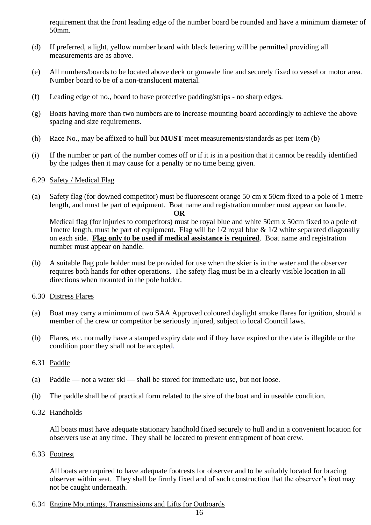requirement that the front leading edge of the number board be rounded and have a minimum diameter of 50mm.

- (d) If preferred, a light, yellow number board with black lettering will be permitted providing all measurements are as above.
- (e) All numbers/boards to be located above deck or gunwale line and securely fixed to vessel or motor area. Number board to be of a non-translucent material.
- (f) Leading edge of no., board to have protective padding/strips no sharp edges.
- (g) Boats having more than two numbers are to increase mounting board accordingly to achieve the above spacing and size requirements.
- (h) Race No., may be affixed to hull but **MUST** meet measurements/standards as per Item (b)
- (i) If the number or part of the number comes off or if it is in a position that it cannot be readily identified by the judges then it may cause for a penalty or no time being given.

## 6.29 Safety / Medical Flag

(a) Safety flag (for downed competitor) must be fluorescent orange 50 cm x 50cm fixed to a pole of 1 metre length, and must be part of equipment. Boat name and registration number must appear on handle.

#### **OR**

Medical flag (for injuries to competitors) must be royal blue and white 50cm x 50cm fixed to a pole of 1 metre length, must be part of equipment. Flag will be  $1/2$  royal blue  $\&$  1/2 white separated diagonally on each side. **Flag only to be used if medical assistance is required**. Boat name and registration number must appear on handle.

- (b) A suitable flag pole holder must be provided for use when the skier is in the water and the observer requires both hands for other operations. The safety flag must be in a clearly visible location in all directions when mounted in the pole holder.
- 6.30 Distress Flares
- (a) Boat may carry a minimum of two SAA Approved coloured daylight smoke flares for ignition, should a member of the crew or competitor be seriously injured, subject to local Council laws.
- (b) Flares, etc. normally have a stamped expiry date and if they have expired or the date is illegible or the condition poor they shall not be accepted.
- 6.31 Paddle
- (a) Paddle not a water ski shall be stored for immediate use, but not loose.
- (b) The paddle shall be of practical form related to the size of the boat and in useable condition.
- 6.32 Handholds

All boats must have adequate stationary handhold fixed securely to hull and in a convenient location for observers use at any time. They shall be located to prevent entrapment of boat crew.

6.33 Footrest

All boats are required to have adequate footrests for observer and to be suitably located for bracing observer within seat. They shall be firmly fixed and of such construction that the observer's foot may not be caught underneath.

6.34 Engine Mountings, Transmissions and Lifts for Outboards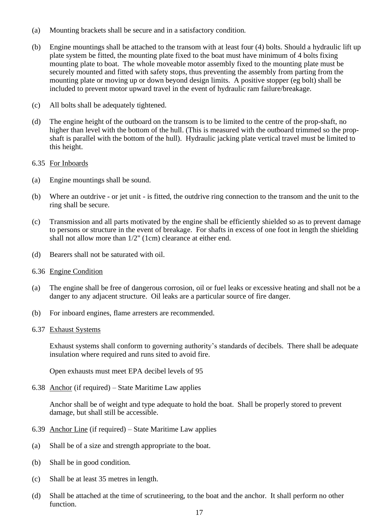- (a) Mounting brackets shall be secure and in a satisfactory condition.
- (b) Engine mountings shall be attached to the transom with at least four (4) bolts. Should a hydraulic lift up plate system be fitted, the mounting plate fixed to the boat must have minimum of 4 bolts fixing mounting plate to boat. The whole moveable motor assembly fixed to the mounting plate must be securely mounted and fitted with safety stops, thus preventing the assembly from parting from the mounting plate or moving up or down beyond design limits. A positive stopper (eg bolt) shall be included to prevent motor upward travel in the event of hydraulic ram failure/breakage.
- (c) All bolts shall be adequately tightened.
- (d) The engine height of the outboard on the transom is to be limited to the centre of the prop-shaft, no higher than level with the bottom of the hull. (This is measured with the outboard trimmed so the propshaft is parallel with the bottom of the hull). Hydraulic jacking plate vertical travel must be limited to this height.
- 6.35 For Inboards
- (a) Engine mountings shall be sound.
- (b) Where an outdrive or jet unit is fitted, the outdrive ring connection to the transom and the unit to the ring shall be secure.
- (c) Transmission and all parts motivated by the engine shall be efficiently shielded so as to prevent damage to persons or structure in the event of breakage. For shafts in excess of one foot in length the shielding shall not allow more than 1/2" (1cm) clearance at either end.
- (d) Bearers shall not be saturated with oil.
- 6.36 Engine Condition
- (a) The engine shall be free of dangerous corrosion, oil or fuel leaks or excessive heating and shall not be a danger to any adjacent structure. Oil leaks are a particular source of fire danger.
- (b) For inboard engines, flame arresters are recommended.
- 6.37 Exhaust Systems

Exhaust systems shall conform to governing authority's standards of decibels. There shall be adequate insulation where required and runs sited to avoid fire.

Open exhausts must meet EPA decibel levels of 95

6.38 Anchor (if required) – State Maritime Law applies

Anchor shall be of weight and type adequate to hold the boat. Shall be properly stored to prevent damage, but shall still be accessible.

- 6.39 Anchor Line (if required) State Maritime Law applies
- (a) Shall be of a size and strength appropriate to the boat.
- (b) Shall be in good condition.
- (c) Shall be at least 35 metres in length.
- (d) Shall be attached at the time of scrutineering, to the boat and the anchor. It shall perform no other function.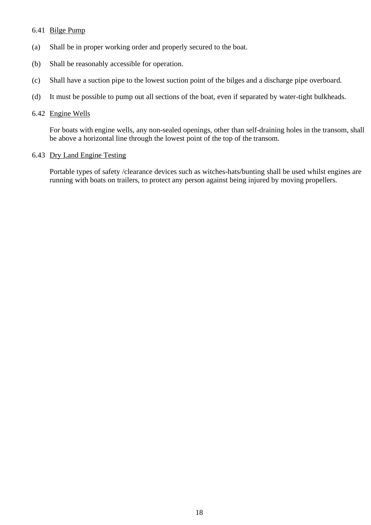## 6.41 Bilge Pump

- (a) Shall be in proper working order and properly secured to the boat.
- (b) Shall be reasonably accessible for operation.
- (c) Shall have a suction pipe to the lowest suction point of the bilges and a discharge pipe overboard.
- (d) It must be possible to pump out all sections of the boat, even if separated by water-tight bulkheads.

## 6.42 Engine Wells

For boats with engine wells, any non-sealed openings, other than self-draining holes in the transom, shall be above a horizontal line through the lowest point of the top of the transom.

## 6.43 Dry Land Engine Testing

Portable types of safety /clearance devices such as witches-hats/bunting shall be used whilst engines are running with boats on trailers, to protect any person against being injured by moving propellers.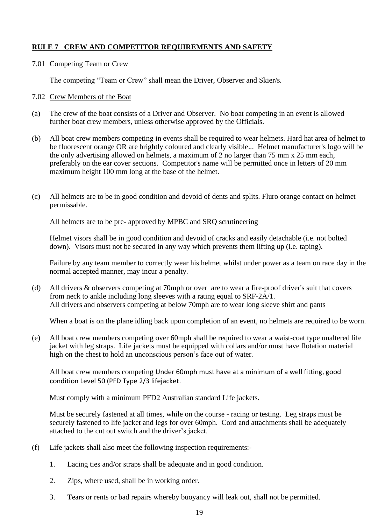## **RULE 7 CREW AND COMPETITOR REQUIREMENTS AND SAFETY**

7.01 Competing Team or Crew

The competing "Team or Crew" shall mean the Driver, Observer and Skier/s.

## 7.02 Crew Members of the Boat

- (a) The crew of the boat consists of a Driver and Observer. No boat competing in an event is allowed further boat crew members, unless otherwise approved by the Officials.
- (b) All boat crew members competing in events shall be required to wear helmets. Hard hat area of helmet to be fluorescent orange OR are brightly coloured and clearly visible... Helmet manufacturer's logo will be the only advertising allowed on helmets, a maximum of 2 no larger than 75 mm x 25 mm each, preferably on the ear cover sections. Competitor's name will be permitted once in letters of 20 mm maximum height 100 mm long at the base of the helmet.
- (c) All helmets are to be in good condition and devoid of dents and splits. Fluro orange contact on helmet permissable.

All helmets are to be pre- approved by MPBC and SRQ scrutineering

Helmet visors shall be in good condition and devoid of cracks and easily detachable (i.e. not bolted down). Visors must not be secured in any way which prevents them lifting up (i.e. taping).

Failure by any team member to correctly wear his helmet whilst under power as a team on race day in the normal accepted manner, may incur a penalty.

(d) All drivers & observers competing at 70mph or over are to wear a fire-proof driver's suit that covers from neck to ankle including long sleeves with a rating equal to SRF-2A/1. All drivers and observers competing at below 70mph are to wear long sleeve shirt and pants

When a boat is on the plane idling back upon completion of an event, no helmets are required to be worn.

(e) All boat crew members competing over 60mph shall be required to wear a waist-coat type unaltered life jacket with leg straps. Life jackets must be equipped with collars and/or must have flotation material high on the chest to hold an unconscious person's face out of water.

All boat crew members competing Under 60mph must have at a minimum of a well fitting, good condition Level 50 (PFD Type 2/3 lifejacket.

Must comply with a minimum PFD2 Australian standard Life jackets.

Must be securely fastened at all times, while on the course - racing or testing. Leg straps must be securely fastened to life jacket and legs for over 60mph. Cord and attachments shall be adequately attached to the cut out switch and the driver's jacket.

- (f) Life jackets shall also meet the following inspection requirements:-
	- 1. Lacing ties and/or straps shall be adequate and in good condition.
	- 2. Zips, where used, shall be in working order.
	- 3. Tears or rents or bad repairs whereby buoyancy will leak out, shall not be permitted.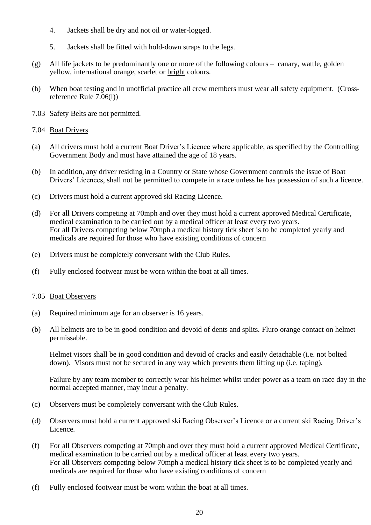- 4. Jackets shall be dry and not oil or water-logged.
- 5. Jackets shall be fitted with hold-down straps to the legs.
- (g) All life jackets to be predominantly one or more of the following colours canary, wattle, golden yellow, international orange, scarlet or bright colours.
- (h) When boat testing and in unofficial practice all crew members must wear all safety equipment. (Crossreference Rule 7.06(l))
- 7.03 Safety Belts are not permitted.
- 7.04 Boat Drivers
- (a) All drivers must hold a current Boat Driver's Licence where applicable, as specified by the Controlling Government Body and must have attained the age of 18 years.
- (b) In addition, any driver residing in a Country or State whose Government controls the issue of Boat Drivers' Licences, shall not be permitted to compete in a race unless he has possession of such a licence.
- (c) Drivers must hold a current approved ski Racing Licence.
- (d) For all Drivers competing at 70mph and over they must hold a current approved Medical Certificate, medical examination to be carried out by a medical officer at least every two years. For all Drivers competing below 70mph a medical history tick sheet is to be completed yearly and medicals are required for those who have existing conditions of concern
- (e) Drivers must be completely conversant with the Club Rules.
- (f) Fully enclosed footwear must be worn within the boat at all times.
- 7.05 Boat Observers
- (a) Required minimum age for an observer is 16 years.
- (b) All helmets are to be in good condition and devoid of dents and splits. Fluro orange contact on helmet permissable.

Helmet visors shall be in good condition and devoid of cracks and easily detachable (i.e. not bolted down). Visors must not be secured in any way which prevents them lifting up (i.e. taping).

Failure by any team member to correctly wear his helmet whilst under power as a team on race day in the normal accepted manner, may incur a penalty.

- (c) Observers must be completely conversant with the Club Rules.
- (d) Observers must hold a current approved ski Racing Observer's Licence or a current ski Racing Driver's Licence.
- (f) For all Observers competing at 70mph and over they must hold a current approved Medical Certificate, medical examination to be carried out by a medical officer at least every two years. For all Observers competing below 70mph a medical history tick sheet is to be completed yearly and medicals are required for those who have existing conditions of concern
- (f) Fully enclosed footwear must be worn within the boat at all times.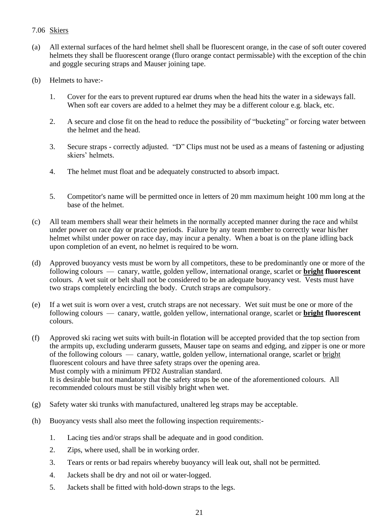## 7.06 Skiers

- (a) All external surfaces of the hard helmet shell shall be fluorescent orange, in the case of soft outer covered helmets they shall be fluorescent orange (fluro orange contact permissable) with the exception of the chin and goggle securing straps and Mauser joining tape.
- (b) Helmets to have:-
	- 1. Cover for the ears to prevent ruptured ear drums when the head hits the water in a sideways fall. When soft ear covers are added to a helmet they may be a different colour e.g. black, etc.
	- 2. A secure and close fit on the head to reduce the possibility of "bucketing" or forcing water between the helmet and the head.
	- 3. Secure straps correctly adjusted. "D" Clips must not be used as a means of fastening or adjusting skiers' helmets.
	- 4. The helmet must float and be adequately constructed to absorb impact.
	- 5. Competitor's name will be permitted once in letters of 20 mm maximum height 100 mm long at the base of the helmet.
- (c) All team members shall wear their helmets in the normally accepted manner during the race and whilst under power on race day or practice periods. Failure by any team member to correctly wear his/her helmet whilst under power on race day, may incur a penalty. When a boat is on the plane idling back upon completion of an event, no helmet is required to be worn.
- (d) Approved buoyancy vests must be worn by all competitors, these to be predominantly one or more of the following colours — canary, wattle, golden yellow, international orange, scarlet or **bright fluorescent** colours. A wet suit or belt shall not be considered to be an adequate buoyancy vest. Vests must have two straps completely encircling the body. Crutch straps are compulsory.
- (e) If a wet suit is worn over a vest, crutch straps are not necessary. Wet suit must be one or more of the following colours — canary, wattle, golden yellow, international orange, scarlet or **bright fluorescent** colours.
- (f) Approved ski racing wet suits with built-in flotation will be accepted provided that the top section from the armpits up, excluding underarm gussets, Mauser tape on seams and edging, and zipper is one or more of the following colours — canary, wattle, golden yellow, international orange, scarlet or bright fluorescent colours and have three safety straps over the opening area. Must comply with a minimum PFD2 Australian standard. It is desirable but not mandatory that the safety straps be one of the aforementioned colours. All recommended colours must be still visibly bright when wet.
- (g) Safety water ski trunks with manufactured, unaltered leg straps may be acceptable.
- (h) Buoyancy vests shall also meet the following inspection requirements:-
	- 1. Lacing ties and/or straps shall be adequate and in good condition.
	- 2. Zips, where used, shall be in working order.
	- 3. Tears or rents or bad repairs whereby buoyancy will leak out, shall not be permitted.
	- 4. Jackets shall be dry and not oil or water-logged.
	- 5. Jackets shall be fitted with hold-down straps to the legs.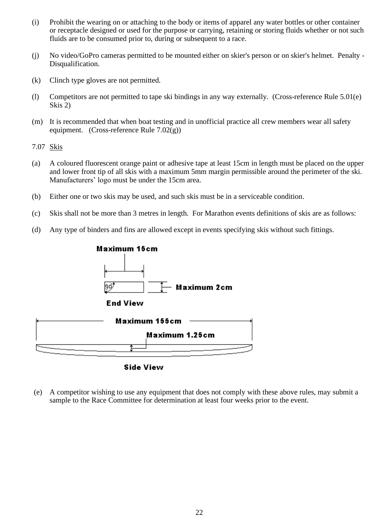- (i) Prohibit the wearing on or attaching to the body or items of apparel any water bottles or other container or receptacle designed or used for the purpose or carrying, retaining or storing fluids whether or not such fluids are to be consumed prior to, during or subsequent to a race.
- (j) No video/GoPro cameras permitted to be mounted either on skier's person or on skier's helmet. Penalty Disqualification.
- (k) Clinch type gloves are not permitted.
- (l) Competitors are not permitted to tape ski bindings in any way externally. (Cross-reference Rule 5.01(e) Skis 2)
- (m) It is recommended that when boat testing and in unofficial practice all crew members wear all safety equipment. (Cross-reference Rule  $7.02(g)$ )
- 7.07 Skis
- (a) A coloured fluorescent orange paint or adhesive tape at least 15cm in length must be placed on the upper and lower front tip of all skis with a maximum 5mm margin permissible around the perimeter of the ski. Manufacturers' logo must be under the 15cm area.
- (b) Either one or two skis may be used, and such skis must be in a serviceable condition.
- (c) Skis shall not be more than 3 metres in length. For Marathon events definitions of skis are as follows:
- (d) Any type of binders and fins are allowed except in events specifying skis without such fittings.



**Side View** 

(e) A competitor wishing to use any equipment that does not comply with these above rules, may submit a sample to the Race Committee for determination at least four weeks prior to the event.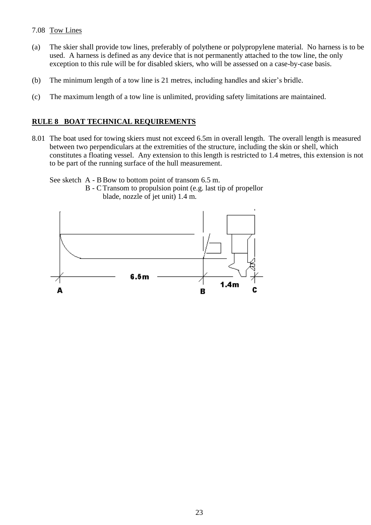## 7.08 Tow Lines

- (a) The skier shall provide tow lines, preferably of polythene or polypropylene material. No harness is to be used. A harness is defined as any device that is not permanently attached to the tow line, the only exception to this rule will be for disabled skiers, who will be assessed on a case-by-case basis.
- (b) The minimum length of a tow line is 21 metres, including handles and skier's bridle.
- (c) The maximum length of a tow line is unlimited, providing safety limitations are maintained.

## **RULE 8 BOAT TECHNICAL REQUIREMENTS**

8.01 The boat used for towing skiers must not exceed 6.5m in overall length. The overall length is measured between two perpendiculars at the extremities of the structure, including the skin or shell, which constitutes a floating vessel. Any extension to this length is restricted to 1.4 metres, this extension is not to be part of the running surface of the hull measurement.

See sketch A - B Bow to bottom point of transom 6.5 m.

B - CTransom to propulsion point (e.g. last tip of propellor blade, nozzle of jet unit) 1.4 m.

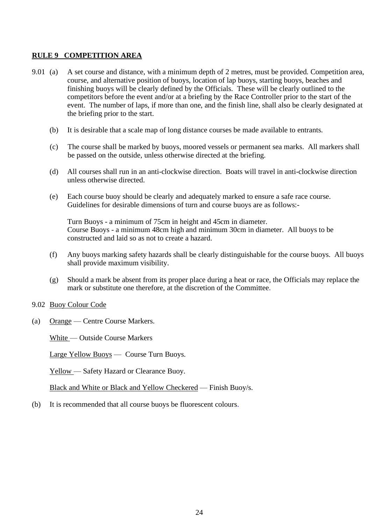## **RULE 9 COMPETITION AREA**

- 9.01 (a) A set course and distance, with a minimum depth of 2 metres, must be provided. Competition area, course, and alternative position of buoys, location of lap buoys, starting buoys, beaches and finishing buoys will be clearly defined by the Officials. These will be clearly outlined to the competitors before the event and/or at a briefing by the Race Controller prior to the start of the event. The number of laps, if more than one, and the finish line, shall also be clearly designated at the briefing prior to the start.
	- (b) It is desirable that a scale map of long distance courses be made available to entrants.
	- (c) The course shall be marked by buoys, moored vessels or permanent sea marks. All markers shall be passed on the outside, unless otherwise directed at the briefing.
	- (d) All courses shall run in an anti-clockwise direction. Boats will travel in anti-clockwise direction unless otherwise directed.
	- (e) Each course buoy should be clearly and adequately marked to ensure a safe race course. Guidelines for desirable dimensions of turn and course buoys are as follows:-

Turn Buoys - a minimum of 75cm in height and 45cm in diameter. Course Buoys - a minimum 48cm high and minimum 30cm in diameter. All buoys to be constructed and laid so as not to create a hazard.

- (f) Any buoys marking safety hazards shall be clearly distinguishable for the course buoys. All buoys shall provide maximum visibility.
- (g) Should a mark be absent from its proper place during a heat or race, the Officials may replace the mark or substitute one therefore, at the discretion of the Committee.
- 9.02 Buoy Colour Code
- (a) Orange Centre Course Markers.

White — Outside Course Markers

Large Yellow Buoys — Course Turn Buoys.

Yellow — Safety Hazard or Clearance Buoy.

Black and White or Black and Yellow Checkered — Finish Buoy/s.

(b) It is recommended that all course buoys be fluorescent colours.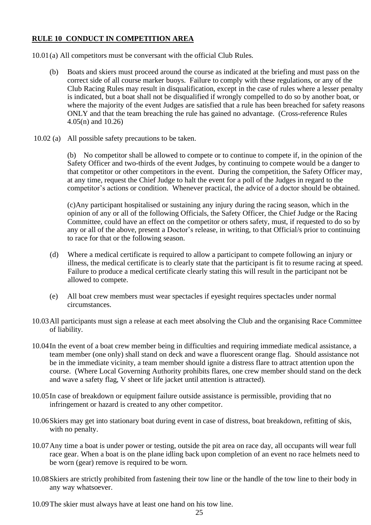## **RULE 10 CONDUCT IN COMPETITION AREA**

10.01(a) All competitors must be conversant with the official Club Rules.

- (b) Boats and skiers must proceed around the course as indicated at the briefing and must pass on the correct side of all course marker buoys. Failure to comply with these regulations, or any of the Club Racing Rules may result in disqualification, except in the case of rules where a lesser penalty is indicated, but a boat shall not be disqualified if wrongly compelled to do so by another boat, or where the majority of the event Judges are satisfied that a rule has been breached for safety reasons ONLY and that the team breaching the rule has gained no advantage. (Cross-reference Rules 4.05(n) and 10.26)
- 10.02 (a) All possible safety precautions to be taken.

(b) No competitor shall be allowed to compete or to continue to compete if, in the opinion of the Safety Officer and two-thirds of the event Judges, by continuing to compete would be a danger to that competitor or other competitors in the event. During the competition, the Safety Officer may, at any time, request the Chief Judge to halt the event for a poll of the Judges in regard to the competitor's actions or condition. Whenever practical, the advice of a doctor should be obtained.

(c)Any participant hospitalised or sustaining any injury during the racing season, which in the opinion of any or all of the following Officials, the Safety Officer, the Chief Judge or the Racing Committee, could have an effect on the competitor or others safety, must, if requested to do so by any or all of the above, present a Doctor's release, in writing, to that Official/s prior to continuing to race for that or the following season.

- (d) Where a medical certificate is required to allow a participant to compete following an injury or illness, the medical certificate is to clearly state that the participant is fit to resume racing at speed. Failure to produce a medical certificate clearly stating this will result in the participant not be allowed to compete.
- (e) All boat crew members must wear spectacles if eyesight requires spectacles under normal circumstances.
- 10.03All participants must sign a release at each meet absolving the Club and the organising Race Committee of liability.
- 10.04In the event of a boat crew member being in difficulties and requiring immediate medical assistance, a team member (one only) shall stand on deck and wave a fluorescent orange flag. Should assistance not be in the immediate vicinity, a team member should ignite a distress flare to attract attention upon the course. (Where Local Governing Authority prohibits flares, one crew member should stand on the deck and wave a safety flag, V sheet or life jacket until attention is attracted).
- 10.05In case of breakdown or equipment failure outside assistance is permissible, providing that no infringement or hazard is created to any other competitor.
- 10.06Skiers may get into stationary boat during event in case of distress, boat breakdown, refitting of skis, with no penalty.
- 10.07Any time a boat is under power or testing, outside the pit area on race day, all occupants will wear full race gear. When a boat is on the plane idling back upon completion of an event no race helmets need to be worn (gear) remove is required to be worn.
- 10.08Skiers are strictly prohibited from fastening their tow line or the handle of the tow line to their body in any way whatsoever.
- 10.09The skier must always have at least one hand on his tow line.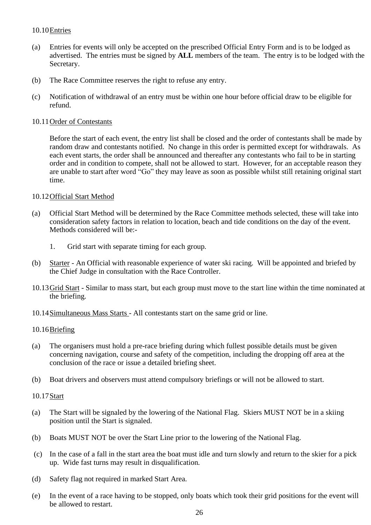## 10.10Entries

- (a) Entries for events will only be accepted on the prescribed Official Entry Form and is to be lodged as advertised. The entries must be signed by **ALL** members of the team. The entry is to be lodged with the Secretary.
- (b) The Race Committee reserves the right to refuse any entry.
- (c) Notification of withdrawal of an entry must be within one hour before official draw to be eligible for refund.

## 10.11Order of Contestants

Before the start of each event, the entry list shall be closed and the order of contestants shall be made by random draw and contestants notified. No change in this order is permitted except for withdrawals. As each event starts, the order shall be announced and thereafter any contestants who fail to be in starting order and in condition to compete, shall not be allowed to start. However, for an acceptable reason they are unable to start after word "Go" they may leave as soon as possible whilst still retaining original start time.

## 10.12Official Start Method

- (a) Official Start Method will be determined by the Race Committee methods selected, these will take into consideration safety factors in relation to location, beach and tide conditions on the day of the event. Methods considered will be:-
	- 1. Grid start with separate timing for each group.
- (b) Starter An Official with reasonable experience of water ski racing. Will be appointed and briefed by the Chief Judge in consultation with the Race Controller.
- 10.13Grid Start Similar to mass start, but each group must move to the start line within the time nominated at the briefing.
- 10.14Simultaneous Mass Starts All contestants start on the same grid or line.

## 10.16Briefing

- (a) The organisers must hold a pre-race briefing during which fullest possible details must be given concerning navigation, course and safety of the competition, including the dropping off area at the conclusion of the race or issue a detailed briefing sheet.
- (b) Boat drivers and observers must attend compulsory briefings or will not be allowed to start.

## 10.17Start

- (a) The Start will be signaled by the lowering of the National Flag. Skiers MUST NOT be in a skiing position until the Start is signaled.
- (b) Boats MUST NOT be over the Start Line prior to the lowering of the National Flag.
- (c) In the case of a fall in the start area the boat must idle and turn slowly and return to the skier for a pick up. Wide fast turns may result in disqualification.
- (d) Safety flag not required in marked Start Area.
- (e) In the event of a race having to be stopped, only boats which took their grid positions for the event will be allowed to restart.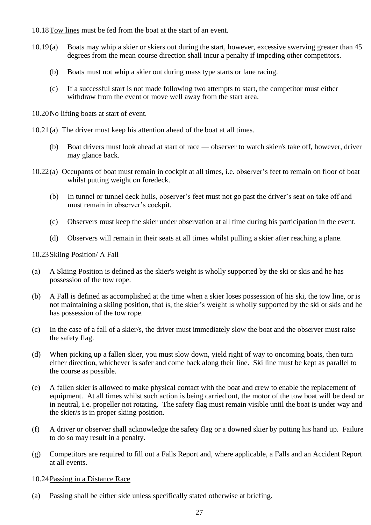10.18Tow lines must be fed from the boat at the start of an event.

- 10.19(a) Boats may whip a skier or skiers out during the start, however, excessive swerving greater than 45 degrees from the mean course direction shall incur a penalty if impeding other competitors.
	- (b) Boats must not whip a skier out during mass type starts or lane racing.
	- (c) If a successful start is not made following two attempts to start, the competitor must either withdraw from the event or move well away from the start area.
- 10.20No lifting boats at start of event.
- 10.21(a) The driver must keep his attention ahead of the boat at all times.
	- (b) Boat drivers must look ahead at start of race observer to watch skier/s take off, however, driver may glance back.
- 10.22(a) Occupants of boat must remain in cockpit at all times, i.e. observer's feet to remain on floor of boat whilst putting weight on foredeck.
	- (b) In tunnel or tunnel deck hulls, observer's feet must not go past the driver's seat on take off and must remain in observer's cockpit.
	- (c) Observers must keep the skier under observation at all time during his participation in the event.
	- (d) Observers will remain in their seats at all times whilst pulling a skier after reaching a plane.

## 10.23Skiing Position/ A Fall

- (a) A Skiing Position is defined as the skier's weight is wholly supported by the ski or skis and he has possession of the tow rope.
- (b) A Fall is defined as accomplished at the time when a skier loses possession of his ski, the tow line, or is not maintaining a skiing position, that is, the skier's weight is wholly supported by the ski or skis and he has possession of the tow rope.
- (c) In the case of a fall of a skier/s, the driver must immediately slow the boat and the observer must raise the safety flag.
- (d) When picking up a fallen skier, you must slow down, yield right of way to oncoming boats, then turn either direction, whichever is safer and come back along their line. Ski line must be kept as parallel to the course as possible.
- (e) A fallen skier is allowed to make physical contact with the boat and crew to enable the replacement of equipment. At all times whilst such action is being carried out, the motor of the tow boat will be dead or in neutral, i.e. propeller not rotating. The safety flag must remain visible until the boat is under way and the skier/s is in proper skiing position.
- (f) A driver or observer shall acknowledge the safety flag or a downed skier by putting his hand up. Failure to do so may result in a penalty.
- (g) Competitors are required to fill out a Falls Report and, where applicable, a Falls and an Accident Report at all events.

## 10.24Passing in a Distance Race

(a) Passing shall be either side unless specifically stated otherwise at briefing.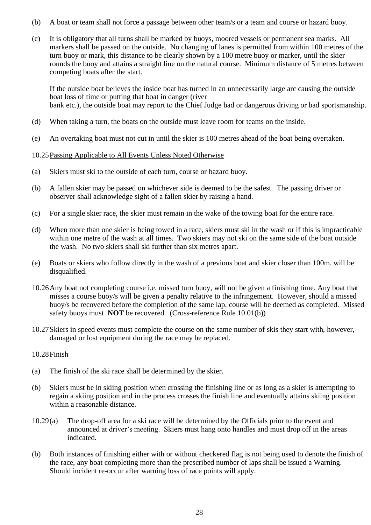- (b) A boat or team shall not force a passage between other team/s or a team and course or hazard buoy.
- (c) It is obligatory that all turns shall be marked by buoys, moored vessels or permanent sea marks. All markers shall be passed on the outside. No changing of lanes is permitted from within 100 metres of the turn buoy or mark, this distance to be clearly shown by a 100 metre buoy or marker, until the skier rounds the buoy and attains a straight line on the natural course. Minimum distance of 5 metres between competing boats after the start.

If the outside boat believes the inside boat has turned in an unnecessarily large arc causing the outside boat loss of time or putting that boat in danger (river bank etc.), the outside boat may report to the Chief Judge bad or dangerous driving or bad sportsmanship.

- (d) When taking a turn, the boats on the outside must leave room for teams on the inside.
- (e) An overtaking boat must not cut in until the skier is 100 metres ahead of the boat being overtaken.

## 10.25Passing Applicable to All Events Unless Noted Otherwise

- (a) Skiers must ski to the outside of each turn, course or hazard buoy.
- (b) A fallen skier may be passed on whichever side is deemed to be the safest. The passing driver or observer shall acknowledge sight of a fallen skier by raising a hand.
- (c) For a single skier race, the skier must remain in the wake of the towing boat for the entire race.
- (d) When more than one skier is being towed in a race, skiers must ski in the wash or if this is impracticable within one metre of the wash at all times. Two skiers may not ski on the same side of the boat outside the wash. No two skiers shall ski further than six metres apart.
- (e) Boats or skiers who follow directly in the wash of a previous boat and skier closer than 100m. will be disqualified.
- 10.26Any boat not completing course i.e. missed turn buoy, will not be given a finishing time. Any boat that misses a course buoy/s will be given a penalty relative to the infringement. However, should a missed buoy/s be recovered before the completion of the same lap, course will be deemed as completed. Missed safety buoys must **NOT** be recovered. (Cross-reference Rule 10.01(b))
- 10.27Skiers in speed events must complete the course on the same number of skis they start with, however, damaged or lost equipment during the race may be replaced.

## 10.28Finish

- (a) The finish of the ski race shall be determined by the skier.
- (b) Skiers must be in skiing position when crossing the finishing line or as long as a skier is attempting to regain a skiing position and in the process crosses the finish line and eventually attains skiing position within a reasonable distance.
- 10.29(a) The drop-off area for a ski race will be determined by the Officials prior to the event and announced at driver's meeting. Skiers must hang onto handles and must drop off in the areas indicated.
- (b) Both instances of finishing either with or without checkered flag is not being used to denote the finish of the race, any boat completing more than the prescribed number of laps shall be issued a Warning. Should incident re-occur after warning loss of race points will apply.